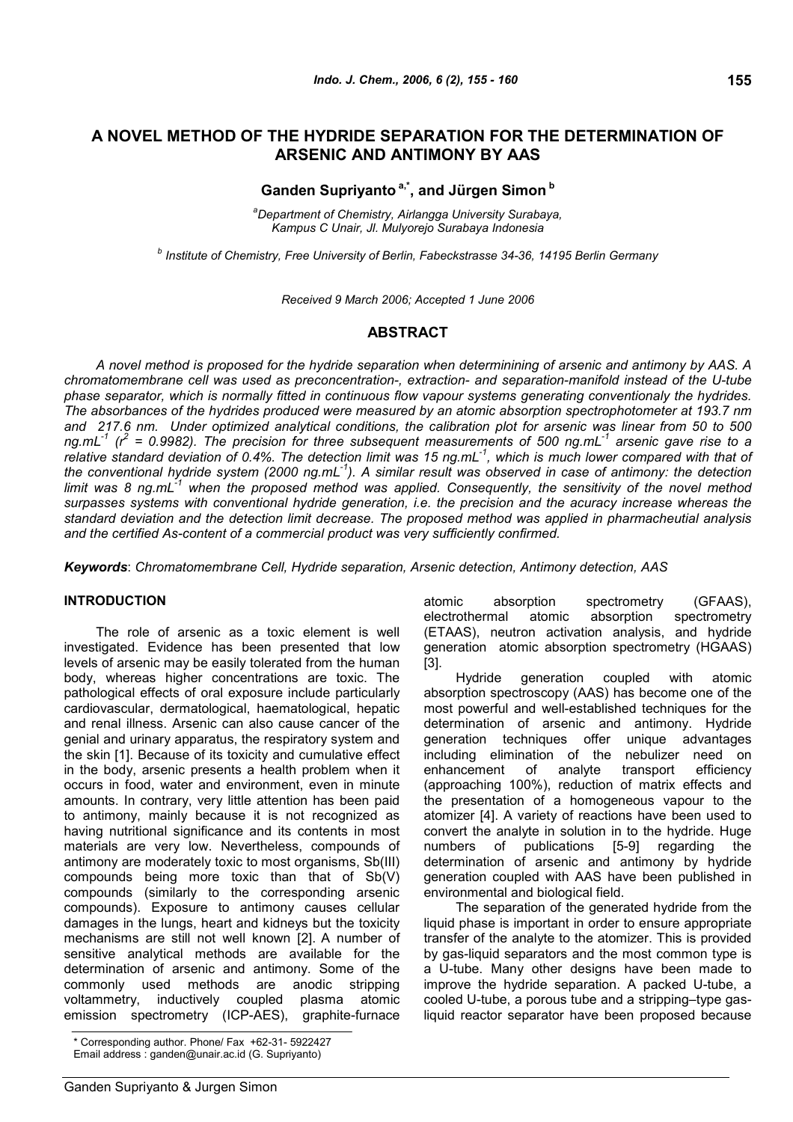# **A NOVEL METHOD OF THE HYDRIDE SEPARATION FOR THE DETERMINATION OF ARSENIC AND ANTIMONY BY AAS**

# **Ganden Supriyanto a,\* , and Jürgen Simon <sup>b</sup>**

*<sup>a</sup>Department of Chemistry, Airlangga University Surabaya, Kampus C Unair, Jl. Mulyorejo Surabaya Indonesia*

*b Institute of Chemistry, Free University of Berlin, Fabeckstrasse 34-36, 14195 Berlin Germany*

*Received 9 March 2006; Accepted 1 June 2006*

## **ABSTRACT**

*A novel method is proposed for the hydride separation when determinining of arsenic and antimony by AAS. A chromatomembrane cell was used as preconcentration-, extraction- and separation-manifold instead of the U-tube phase separator, which is normally fitted in continuous flow vapour systems generating conventionaly the hydrides. The absorbances of the hydrides produced were measured by an atomic absorption spectrophotometer at 193.7 nm and 217.6 nm. Under optimized analytical conditions, the calibration plot for arsenic was linear from 50 to 500 ng.mL -1 (r2 = 0.9982). The precision for three subsequent measurements of 500 ng.mL -1 arsenic gave rise to a relative standard deviation of 0.4%. The detection limit was 15 ng.mL -1 , which is much lower compared with that of the conventional hydride system (2000 ng.mL -1 ). A similar result was observed in case of antimony: the detection limit was 8 ng.mL -1 when the proposed method was applied. Consequently, the sensitivity of the novel method surpasses systems with conventional hydride generation, i.e. the precision and the acuracy increase whereas the standard deviation and the detection limit decrease. The proposed method was applied in pharmacheutial analysis and the certified As-content of a commercial product was very sufficiently confirmed.*

*Keywords*: *Chromatomembrane Cell, Hydride separation, Arsenic detection, Antimony detection, AAS*

## **INTRODUCTION**

The role of arsenic as a toxic element is well investigated. Evidence has been presented that low levels of arsenic may be easily tolerated from the human body, whereas higher concentrations are toxic. The pathological effects of oral exposure include particularly cardiovascular, dermatological, haematological, hepatic and renal illness. Arsenic can also cause cancer of the genial and urinary apparatus, the respiratory system and the skin [1]. Because of its toxicity and cumulative effect in the body, arsenic presents a health problem when it occurs in food, water and environment, even in minute amounts. In contrary, very little attention has been paid to antimony, mainly because it is not recognized as having nutritional significance and its contents in most materials are very low. Nevertheless, compounds of numbers antimony are moderately toxic to most organisms, Sb(III) compounds being more toxic than that of Sb(V) compounds (similarly to the corresponding arsenic compounds). Exposure to antimony causes cellular damages in the lungs, heart and kidneys but the toxicity mechanisms are still not well known [2]. A number of sensitive analytical methods are available for the determination of arsenic and antimony. Some of the commonly used methods are anodic stripping voltammetry, inductively coupled plasma atomic emission spectrometry (ICP-AES), graphite-furnace

atomic absorption spectrometry (GFAAS), electrothermal atomic absorption spectrometry (ETAAS), neutron activation analysis, and hydride generation atomic absorption spectrometry (HGAAS) [3].

Hydride generation coupled with atomic absorption spectroscopy (AAS) has become one of the most powerful and well-established techniques for the determination of arsenic and antimony. Hydride generation techniques offer unique advantages including elimination of the nebulizer need on enhancement of analyte transport efficiency (approaching 100%), reduction of matrix effects and the presentation of a homogeneous vapour to the atomizer [4]. A variety of reactions have been used to convert the analyte in solution in to the hydride. Huge of publications [5-9] regarding the determination of arsenic and antimony by hydride generation coupled with AAS have been published in environmental and biological field.

The separation of the generated hydride from the liquid phase is important in order to ensure appropriate transfer of the analyte to the atomizer. This is provided by gas-liquid separators and the most common type is a U-tube. Many other designs have been made to improve the hydride separation. A packed U-tube, a cooled U-tube, a porous tube and a stripping–type gasliquid reactor separator have been proposed because

<sup>\*</sup> Corresponding author. Phone/ Fax +62-31- 5922427 Email address : ganden@unair.ac.id (G. Supriyanto)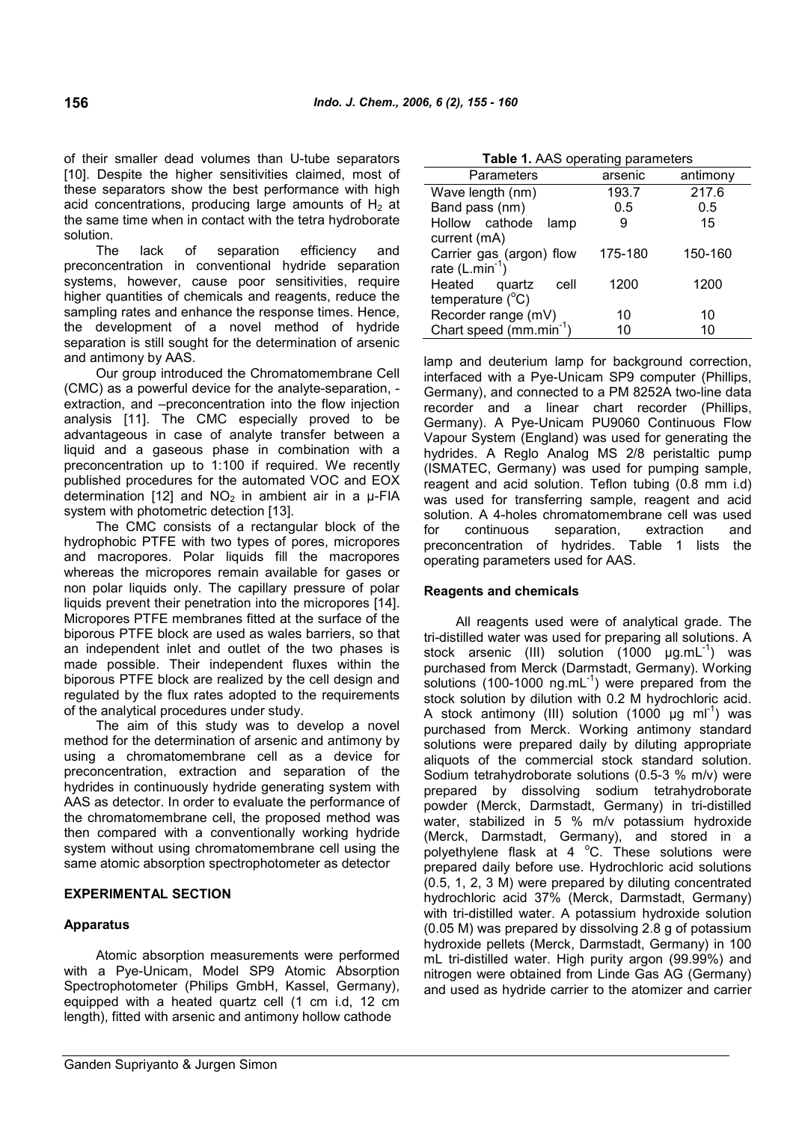of their smaller dead volumes than U-tube separators [10]. Despite the higher sensitivities claimed, most of these separators show the best performance with high acid concentrations, producing large amounts of  $H_2$  at the same time when in contact with the tetra hydroborate solution.

The lack of separation efficiency and preconcentration in conventional hydride separation systems, however, cause poor sensitivities, require higher quantities of chemicals and reagents, reduce the sampling rates and enhance the response times. Hence, the development of a novel method of hydride separation is still sought for the determination of arsenic and antimony by AAS.

Our group introduced the Chromatomembrane Cell (CMC) as a powerful device for the analyte-separation, extraction, and –preconcentration into the flow injection analysis [11]. The CMC especially proved to be advantageous in case of analyte transfer between a liquid and a gaseous phase in combination with a preconcentration up to 1:100 if required. We recently published procedures for the automated VOC and EOX determination [12] and  $NO<sub>2</sub>$  in ambient air in a  $\mu$ -FIA system with photometric detection [13].

The CMC consists of a rectangular block of the hydrophobic PTFE with two types of pores, micropores and macropores. Polar liquids fill the macropores whereas the micropores remain available for gases or non polar liquids only. The capillary pressure of polar liquids prevent their penetration into the micropores [14]. Micropores PTFE membranes fitted at the surface of the biporous PTFE block are used as wales barriers, so that an independent inlet and outlet of the two phases is made possible. Their independent fluxes within the biporous PTFE block are realized by the cell design and regulated by the flux rates adopted to the requirements of the analytical procedures under study.

The aim of this study was to develop a novel method for the determination of arsenic and antimony by using a chromatomembrane cell as a device for preconcentration, extraction and separation of the hydrides in continuously hydride generating system with AAS as detector. In order to evaluate the performance of the chromatomembrane cell, the proposed method was then compared with a conventionally working hydride system without using chromatomembrane cell using the same atomic absorption spectrophotometer as detector

## **EXPERIMENTAL SECTION**

## **Apparatus**

Atomic absorption measurements were performed with a Pye-Unicam, Model SP9 Atomic Absorption Spectrophotometer (Philips GmbH, Kassel, Germany), equipped with a heated quartz cell (1 cm i.d, 12 cm length), fitted with arsenic and antimony hollow cathode

| יים כי                    |         |          |  |  |  |
|---------------------------|---------|----------|--|--|--|
| Parameters                | arsenic | antimony |  |  |  |
| Wave length (nm)          | 193.7   | 217.6    |  |  |  |
| Band pass (nm)            | 0.5     | 0.5      |  |  |  |
| Hollow cathode<br>lamp    | 9       | 15       |  |  |  |
| current (mA)              |         |          |  |  |  |
| Carrier gas (argon) flow  | 175-180 | 150-160  |  |  |  |
| rate $(L.min-1)$          |         |          |  |  |  |
| Heated<br>quartz<br>cell  | 1200    | 1200     |  |  |  |
| temperature $(^{\circ}C)$ |         |          |  |  |  |
| Recorder range (mV)       | 10      | 10       |  |  |  |
| Chart speed $(mm.min-1)$  | 10      | 10       |  |  |  |

lamp and deuterium lamp for background correction, interfaced with a Pye-Unicam SP9 computer (Phillips, Germany), and connected to a PM 8252A two-line data recorder and a linear chart recorder (Phillips, Germany). A Pye-Unicam PU9060 Continuous Flow Vapour System (England) was used for generating the hydrides. A Reglo Analog MS 2/8 peristaltic pump (ISMATEC, Germany) was used for pumping sample, reagent and acid solution. Teflon tubing (0.8 mm i.d) was used for transferring sample, reagent and acid solution. A 4-holes chromatomembrane cell was used for continuous separation, extraction and preconcentration of hydrides. Table 1 lists the operating parameters used for AAS.

## **Reagents and chemicals**

All reagents used were of analytical grade. The tri-distilled water was used for preparing all solutions. A stock arsenic (III) solution (1000 µg.mL<sup>-1</sup>) was purchased from Merck (Darmstadt, Germany). Working solutions (100-1000 ng.mL<sup>-1</sup>) were prepared from the stock solution by dilution with 0.2 M hydrochloric acid. A stock antimony (III) solution (1000 µg ml<sup>-1</sup>) was purchased from Merck. Working antimony standard solutions were prepared daily by diluting appropriate aliquots of the commercial stock standard solution. Sodium tetrahydroborate solutions (0.5-3 % m/v) were prepared by dissolving sodium tetrahydroborate powder (Merck, Darmstadt, Germany) in tri-distilled water, stabilized in 5 % m/v potassium hydroxide (Merck, Darmstadt, Germany), and stored in a polyethylene flask at 4  $^{\circ}$ C. These solutions were prepared daily before use. Hydrochloric acid solutions (0.5, 1, 2, 3 M) were prepared by diluting concentrated hydrochloric acid 37% (Merck, Darmstadt, Germany) with tri-distilled water. A potassium hydroxide solution (0.05 M) was prepared by dissolving 2.8 g of potassium hydroxide pellets (Merck, Darmstadt, Germany) in 100 mL tri-distilled water. High purity argon (99.99%) and nitrogen were obtained from Linde Gas AG (Germany) and used as hydride carrier to the atomizer and carrier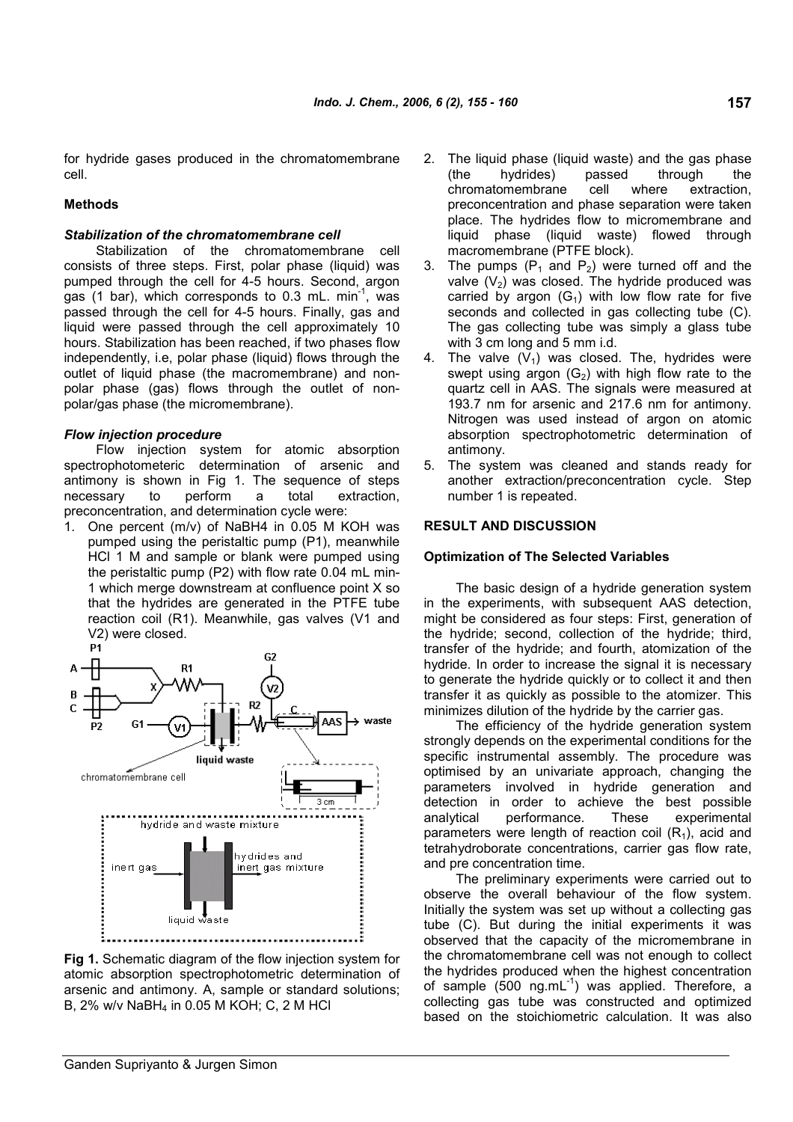for hydride gases produced in the chromatomembrane cell.

# **Methods**

### *Stabilization of the chromatomembrane cell*

Stabilization of the chromatomembrane cell consists of three steps. First, polar phase (liquid) was pumped through the cell for 4-5 hours. Second, argon gas (1 bar), which corresponds to 0.3 mL. min<sup>-1</sup>, was passed through the cell for 4-5 hours. Finally, gas and liquid were passed through the cell approximately 10 hours. Stabilization has been reached, if two phases flow independently, i.e, polar phase (liquid) flows through the outlet of liquid phase (the macromembrane) and nonpolar phase (gas) flows through the outlet of nonpolar/gas phase (the micromembrane).

## *Flow injection procedure*

Flow injection system for atomic absorption spectrophotometeric determination of arsenic and antimony is shown in Fig 1. The sequence of steps necessary to perform a total extraction, preconcentration, and determination cycle were:

1. One percent (m/v) of NaBH4 in 0.05 M KOH was pumped using the peristaltic pump (P1), meanwhile HCl 1 M and sample or blank were pumped using the peristaltic pump (P2) with flow rate 0.04 mL min-1 which merge downstream at confluence point X so that the hydrides are generated in the PTFE tube reaction coil (R1). Meanwhile, gas valves (V1 and V<sub>2</sub>) were closed.



**Fig 1.** Schematic diagram of the flow injection system for atomic absorption spectrophotometric determination of arsenic and antimony. A, sample or standard solutions; B, 2% w/v NaBH<sub>4</sub> in 0.05 M KOH; C, 2 M HCl

- 2. The liquid phase (liquid waste) and the gas phase (the hydrides) passed through the chromatomembrane cell where extraction, preconcentration and phase separation were taken place. The hydrides flow to micromembrane and liquid phase (liquid waste) flowed through macromembrane (PTFE block).
- 3. The pumps  $(P_1$  and  $P_2$ ) were turned off and the valve  $(V_2)$  was closed. The hydride produced was carried by argon  $(G_1)$  with low flow rate for five seconds and collected in gas collecting tube (C). The gas collecting tube was simply a glass tube with 3 cm long and 5 mm i.d.
- 4. The valve  $(\check{V}_1)$  was closed. The, hydrides were swept using argon  $(G_2)$  with high flow rate to the quartz cell in AAS. The signals were measured at 193.7 nm for arsenic and 217.6 nm for antimony. Nitrogen was used instead of argon on atomic absorption spectrophotometric determination of antimony.
- 5. The system was cleaned and stands ready for another extraction/preconcentration cycle. Step number 1 is repeated.

#### **RESULT AND DISCUSSION**

#### **Optimization of The Selected Variables**

The basic design of a hydride generation system in the experiments, with subsequent AAS detection, might be considered as four steps: First, generation of the hydride; second, collection of the hydride; third, transfer of the hydride; and fourth, atomization of the hydride. In order to increase the signal it is necessary to generate the hydride quickly or to collect it and then transfer it as quickly as possible to the atomizer. This minimizes dilution of the hydride by the carrier gas.

The efficiency of the hydride generation system strongly depends on the experimental conditions for the specific instrumental assembly. The procedure was optimised by an univariate approach, changing the parameters involved in hydride generation and detection in order to achieve the best possible analytical performance. These experimental parameters were length of reaction coil  $(R_1)$ , acid and tetrahydroborate concentrations, carrier gas flow rate, and pre concentration time.

The preliminary experiments were carried out to observe the overall behaviour of the flow system. Initially the system was set up without a collecting gas tube (C). But during the initial experiments it was observed that the capacity of the micromembrane in the chromatomembrane cell was not enough to collect the hydrides produced when the highest concentration of sample (500 ng.mL<sup>-1</sup>) was applied. Therefore, a collecting gas tube was constructed and optimized based on the stoichiometric calculation. It was also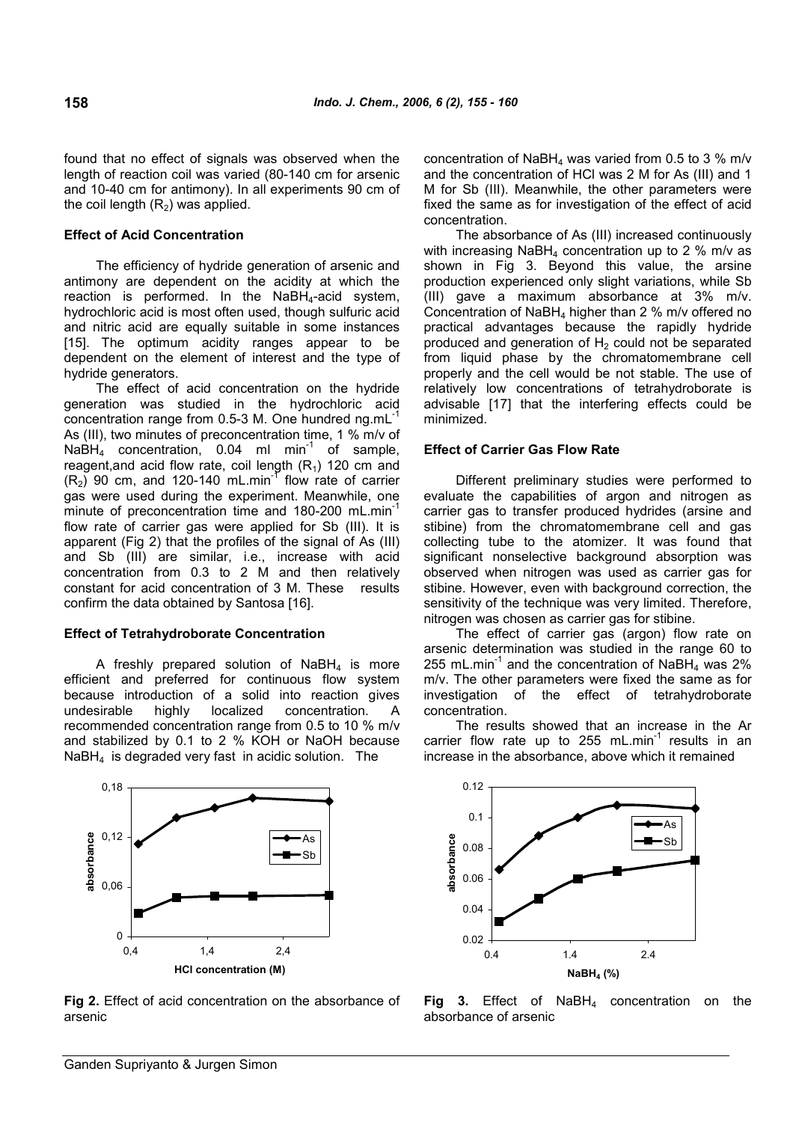found that no effect of signals was observed when the length of reaction coil was varied (80-140 cm for arsenic and 10-40 cm for antimony). In all experiments 90 cm of the coil length  $(R<sub>2</sub>)$  was applied.

#### **Effect of Acid Concentration**

The efficiency of hydride generation of arsenic and antimony are dependent on the acidity at which the reaction is performed. In the  $NabH_4$ -acid system, hydrochloric acid is most often used, though sulfuric acid and nitric acid are equally suitable in some instances [15]. The optimum acidity ranges appear to be dependent on the element of interest and the type of hydride generators.

The effect of acid concentration on the hydride generation was studied in the hydrochloric acid  $\overline{\text{concentration}}$  range from 0.5-3 M. One hundred ng.mL $^{-1}$ As (III), two minutes of preconcentration time, 1 % m/v of  $N$ aBH<sub>4</sub> concentration, 0.04 ml min<sup>-1</sup> of sample, reagent,and acid flow rate, coil length  $(R<sub>1</sub>)$  120 cm and  $(R_2)$  90 cm, and 120-140 mL.min<sup>-1</sup> flow rate of carrier gas were used during the experiment. Meanwhile, one minute of preconcentration time and 180-200 mL.min<sup>-1</sup> flow rate of carrier gas were applied for Sb (III). It is apparent (Fig 2) that the profiles of the signal of As (III) and Sb (III) are similar, i.e., increase with acid concentration from 0.3 to 2 M and then relatively constant for acid concentration of 3 M. These results confirm the data obtained by Santosa [16].

#### **Effect of Tetrahydroborate Concentration**

A freshly prepared solution of  $N$ aBH<sub>4</sub> is more efficient and preferred for continuous flow system because introduction of a solid into reaction gives undesirable highly localized concentration. recommended concentration range from 0.5 to 10 % m/v and stabilized by 0.1 to 2 % KOH or NaOH because NaBH<sup>4</sup> is degraded very fast in acidic solution. The

concentration of NaBH<sub>4</sub> was varied from 0.5 to 3 % m/v and the concentration of HCl was 2 M for As (III) and 1 M for Sb (III). Meanwhile, the other parameters were fixed the same as for investigation of the effect of acid concentration.

The absorbance of As (III) increased continuously with increasing  $N$ aBH<sub>4</sub> concentration up to 2 % m/v as shown in Fig 3. Beyond this value, the arsine production experienced only slight variations, while Sb (III) gave a maximum absorbance at 3% m/v. Concentration of NaBH<sup>4</sup> higher than 2 % m/v offered no practical advantages because the rapidly hydride produced and generation of  $H_2$  could not be separated from liquid phase by the chromatomembrane cell properly and the cell would be not stable. The use of relatively low concentrations of tetrahydroborate is advisable [17] that the interfering effects could be minimized.

## **Effect of Carrier Gas Flow Rate**

Different preliminary studies were performed to evaluate the capabilities of argon and nitrogen as carrier gas to transfer produced hydrides (arsine and stibine) from the chromatomembrane cell and gas collecting tube to the atomizer. It was found that significant nonselective background absorption was observed when nitrogen was used as carrier gas for stibine. However, even with background correction, the sensitivity of the technique was very limited. Therefore, nitrogen was chosen as carrier gas for stibine.

The effect of carrier gas (argon) flow rate on arsenic determination was studied in the range 60 to 255 mL.min<sup>-1</sup> and the concentration of NaBH<sub>4</sub> was 2% m/v. The other parameters were fixed the same as for investigation of the effect of tetrahydroborate concentration.

The results showed that an increase in the Ar carrier flow rate up to 255 mL.min<sup>-1</sup> results in an increase in the absorbance, above which it remained



**Fig 2.** Effect of acid concentration on the absorbance of arsenic



**Fig 3.** Effect of NaBH<sup>4</sup> concentration on the absorbance of arsenic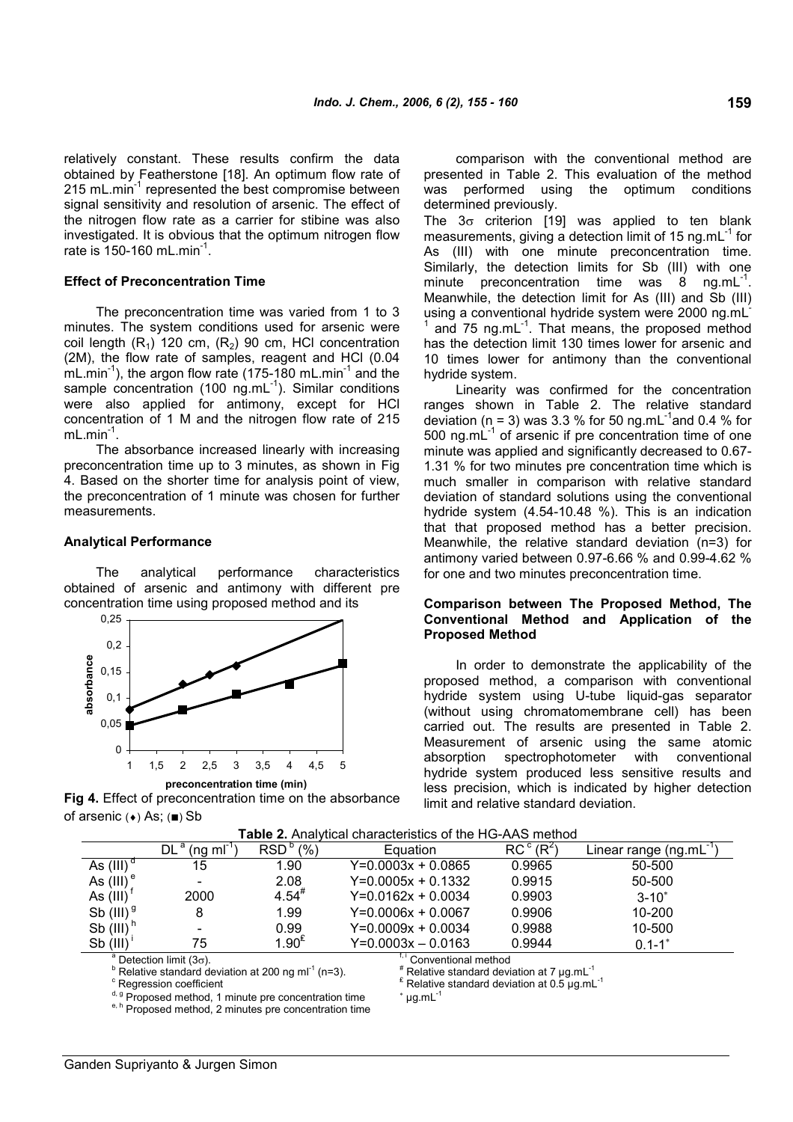relatively constant. These results confirm the data obtained by Featherstone [18]. An optimum flow rate of 215 mL.min<sup>-1</sup> represented the best compromise between signal sensitivity and resolution of arsenic. The effect of the nitrogen flow rate as a carrier for stibine was also investigated. It is obvious that the optimum nitrogen flow rate is 150-160 mL.min<sup>-1</sup>.

## **Effect of Preconcentration Time**

The preconcentration time was varied from 1 to 3 minutes. The system conditions used for arsenic were coil length  $(R_1)$  120 cm,  $(R_2)$  90 cm, HCl concentration (2M), the flow rate of samples, reagent and HCl (0.04 mL.min<sup>-1</sup>), the argon flow rate (175-180 mL.min<sup>-1</sup> and the sample concentration (100 ng.mL<sup>-1</sup>). Similar conditions were also applied for antimony, except for HCl concentration of 1 M and the nitrogen flow rate of 215  $m$ L.min $^{-1}$ .

The absorbance increased linearly with increasing preconcentration time up to 3 minutes, as shown in Fig 4. Based on the shorter time for analysis point of view, the preconcentration of 1 minute was chosen for further measurements.

#### **Analytical Performance**

The analytical performance characteristics obtained of arsenic and antimony with different pre concentration time using proposed method and its



**Fig 4.** Effect of preconcentration time on the absorbance of arsenic ( $\bullet$ ) As; (■) Sb

comparison with the conventional method are presented in Table 2. This evaluation of the method was performed using the optimum conditions determined previously.

The  $3\sigma$  criterion [19] was applied to ten blank measurements, giving a detection limit of 15 ng.mL<sup>-1</sup> for As (III) with one minute preconcentration time. Similarly, the detection limits for Sb (III) with one minute preconcentration time was  $8 \text{ ng.mL}^{-1}$ . Meanwhile, the detection limit for As (III) and Sb (III) using a conventional hydride system were 2000 ng.mL<sup>-</sup> 1 and 75 ng.mL<sup>-1</sup>. That means, the proposed method has the detection limit 130 times lower for arsenic and 10 times lower for antimony than the conventional hydride system.

Linearity was confirmed for the concentration ranges shown in Table 2. The relative standard deviation (n = 3) was 3.3 % for 50 ng.mL $^{\text{-1}}$ and 0.4 % for 500 ng.mL<sup>-1</sup> of arsenic if pre concentration time of one minute was applied and significantly decreased to 0.67- 1.31 % for two minutes pre concentration time which is much smaller in comparison with relative standard deviation of standard solutions using the conventional hydride system (4.54-10.48 %). This is an indication that that proposed method has a better precision. Meanwhile, the relative standard deviation (n=3) for antimony varied between 0.97-6.66 % and 0.99-4.62 % for one and two minutes preconcentration time.

## **Comparison between The Proposed Method, The Conventional Method and Application of the Proposed Method**

In order to demonstrate the applicability of the proposed method, a comparison with conventional hydride system using U-tube liquid-gas separator (without using chromatomembrane cell) has been carried out. The results are presented in Table 2. Measurement of arsenic using the same atomic absorption spectrophotometer with conventional hydride system produced less sensitive results and less precision, which is indicated by higher detection limit and relative standard deviation.

|                | $(nq \, m)$<br>DL                                                                                                | RSD <sup>D</sup><br>(%) | Equation                                                                                    | $RCc$ ( $R2$ ) | Linear range (ng.mL |
|----------------|------------------------------------------------------------------------------------------------------------------|-------------------------|---------------------------------------------------------------------------------------------|----------------|---------------------|
| As (III)       | 15                                                                                                               | 1.90                    | $Y=0.0003x + 0.0865$                                                                        | 0.9965         | 50-500              |
| As $(III)e$    |                                                                                                                  | 2.08                    | $Y=0.0005x + 0.1332$                                                                        | 0.9915         | 50-500              |
| As $(III)^{T}$ | 2000                                                                                                             | $4.54^{*}$              | $Y=0.0162x + 0.0034$                                                                        | 0.9903         | $3 - 10^*$          |
| Sb $(III)^9$   | 8                                                                                                                | 1.99                    | $Y=0.0006x + 0.0067$                                                                        | 0.9906         | 10-200              |
| Sb $(III)^n$   |                                                                                                                  | 0.99                    | $Y=0.0009x + 0.0034$                                                                        | 0.9988         | 10-500              |
| Sb (III)       | 75                                                                                                               | $1.90^{\text{E}}$       | $Y=0.0003x - 0.0163$                                                                        | 0.9944         | $0.1 - 1*$          |
|                | <sup>a</sup> Detection limit (3 $\sigma$ ).<br>$b$ Relative standard deviation at 200 ng ml <sup>-1</sup> (n=3). |                         | <sup>i</sup> Conventional method<br>$*$ Relative standard deviation at 7 $\mu$ g.mL $^{-1}$ |                |                     |

d, g Proposed method, 1 minute pre concentration time

e, h Proposed method, 2 minutes pre concentration time

 $\epsilon$  Regression coefficient  $\epsilon$  **Exercise 2**  $\epsilon$  Relative standard deviation at 0.5 µg.mL<sup>-1</sup>

 $*$  µg.mL $^{-1}$